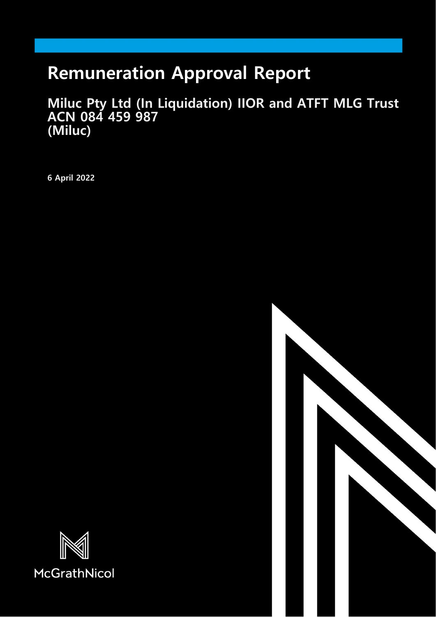# **Remuneration Approval Report**

**Miluc Pty Ltd (In Liquidation) IIOR and ATFT MLG Trust ACN 084 459 987 (Miluc)**

**6 April 2022**



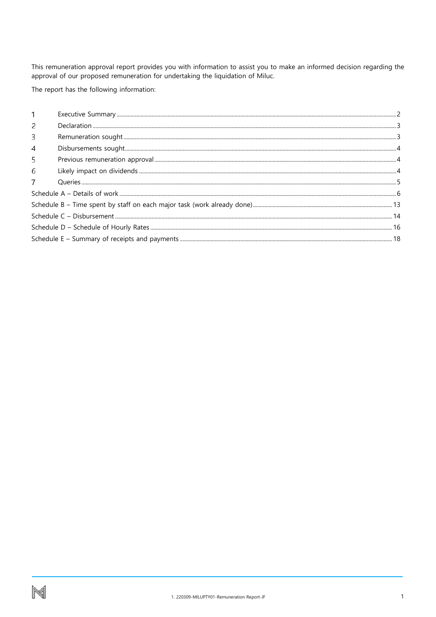This remuneration approval report provides you with information to assist you to make an informed decision regarding the approval of our proposed remuneration for undertaking the liquidation of Miluc.

The report has the following information:

| 2              |  |
|----------------|--|
| 3              |  |
| $\overline{4}$ |  |
| 5              |  |
| 6              |  |
|                |  |
|                |  |
|                |  |
|                |  |
|                |  |
|                |  |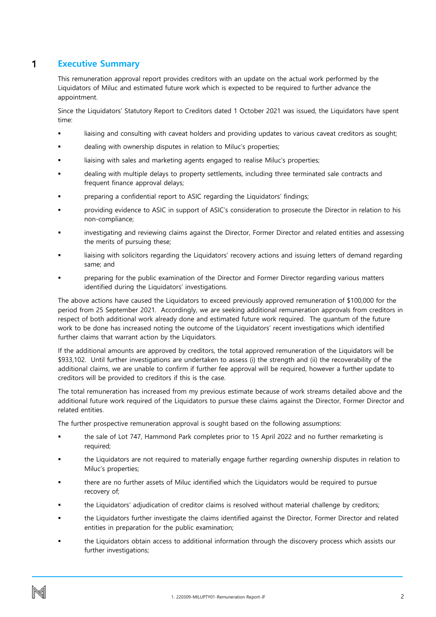### <span id="page-2-0"></span>1 **Executive Summary**

This remuneration approval report provides creditors with an update on the actual work performed by the Liquidators of Miluc and estimated future work which is expected to be required to further advance the appointment.

Since the Liquidators' Statutory Report to Creditors dated 1 October 2021 was issued, the Liquidators have spent time:

- liaising and consulting with caveat holders and providing updates to various caveat creditors as sought;
- dealing with ownership disputes in relation to Miluc's properties;
- liaising with sales and marketing agents engaged to realise Miluc's properties;
- dealing with multiple delays to property settlements, including three terminated sale contracts and frequent finance approval delays;
- preparing a confidential report to ASIC regarding the Liquidators' findings;
- providing evidence to ASIC in support of ASIC's consideration to prosecute the Director in relation to his non-compliance;
- investigating and reviewing claims against the Director, Former Director and related entities and assessing the merits of pursuing these;
- liaising with solicitors regarding the Liquidators' recovery actions and issuing letters of demand regarding same; and
- preparing for the public examination of the Director and Former Director regarding various matters identified during the Liquidators' investigations.

The above actions have caused the Liquidators to exceed previously approved remuneration of \$100,000 for the period from 25 September 2021. Accordingly, we are seeking additional remuneration approvals from creditors in respect of both additional work already done and estimated future work required. The quantum of the future work to be done has increased noting the outcome of the Liquidators' recent investigations which identified further claims that warrant action by the Liquidators.

If the additional amounts are approved by creditors, the total approved remuneration of the Liquidators will be \$933,102. Until further investigations are undertaken to assess (i) the strength and (ii) the recoverability of the additional claims, we are unable to confirm if further fee approval will be required, however a further update to creditors will be provided to creditors if this is the case.

The total remuneration has increased from my previous estimate because of work streams detailed above and the additional future work required of the Liquidators to pursue these claims against the Director, Former Director and related entities.

The further prospective remuneration approval is sought based on the following assumptions:

- the sale of Lot 747, Hammond Park completes prior to 15 April 2022 and no further remarketing is required;
- the Liquidators are not required to materially engage further regarding ownership disputes in relation to Miluc's properties;
- there are no further assets of Miluc identified which the Liquidators would be required to pursue recovery of;
- the Liquidators' adjudication of creditor claims is resolved without material challenge by creditors;
- the Liquidators further investigate the claims identified against the Director, Former Director and related entities in preparation for the public examination;
- the Liquidators obtain access to additional information through the discovery process which assists our further investigations;

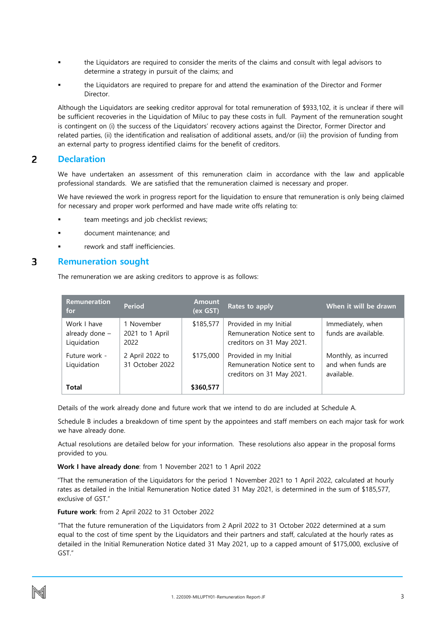- the Liquidators are required to consider the merits of the claims and consult with legal advisors to determine a strategy in pursuit of the claims; and
- the Liquidators are required to prepare for and attend the examination of the Director and Former Director.

Although the Liquidators are seeking creditor approval for total remuneration of \$933,102, it is unclear if there will be sufficient recoveries in the Liquidation of Miluc to pay these costs in full. Payment of the remuneration sought is contingent on (i) the success of the Liquidators' recovery actions against the Director, Former Director and related parties, (ii) the identification and realisation of additional assets, and/or (iii) the provision of funding from an external party to progress identified claims for the benefit of creditors.

#### <span id="page-3-0"></span> $\overline{2}$ **Declaration**

We have undertaken an assessment of this remuneration claim in accordance with the law and applicable professional standards. We are satisfied that the remuneration claimed is necessary and proper.

We have reviewed the work in progress report for the liquidation to ensure that remuneration is only being claimed for necessary and proper work performed and have made write offs relating to:

- team meetings and job checklist reviews;
- document maintenance; and
- rework and staff inefficiencies.

#### <span id="page-3-1"></span>3 **Remuneration sought**

The remuneration we are asking creditors to approve is as follows:

| <b>Remuneration</b><br>for                   | <b>Period</b>                         | <b>Amount</b><br>(ex GST) | Rates to apply                                                                     | When it will be drawn                                    |
|----------------------------------------------|---------------------------------------|---------------------------|------------------------------------------------------------------------------------|----------------------------------------------------------|
| Work I have<br>already done -<br>Liquidation | 1 November<br>2021 to 1 April<br>2022 | \$185,577                 | Provided in my Initial<br>Remuneration Notice sent to<br>creditors on 31 May 2021. | Immediately, when<br>funds are available.                |
| Future work -<br>Liquidation                 | 2 April 2022 to<br>31 October 2022    | \$175,000                 | Provided in my Initial<br>Remuneration Notice sent to<br>creditors on 31 May 2021. | Monthly, as incurred<br>and when funds are<br>available. |
| Total                                        |                                       | \$360,577                 |                                                                                    |                                                          |

Details of the work already done and future work that we intend to do are included at Schedule A.

Schedule B includes a breakdown of time spent by the appointees and staff members on each major task for work we have already done.

Actual resolutions are detailed below for your information. These resolutions also appear in the proposal forms provided to you.

**Work I have already done**: from 1 November 2021 to 1 April 2022

"That the remuneration of the Liquidators for the period 1 November 2021 to 1 April 2022, calculated at hourly rates as detailed in the Initial Remuneration Notice dated 31 May 2021, is determined in the sum of \$185,577, exclusive of GST."

**Future work**: from 2 April 2022 to 31 October 2022

"That the future remuneration of the Liquidators from 2 April 2022 to 31 October 2022 determined at a sum equal to the cost of time spent by the Liquidators and their partners and staff, calculated at the hourly rates as detailed in the Initial Remuneration Notice dated 31 May 2021, up to a capped amount of \$175,000, exclusive of GST."

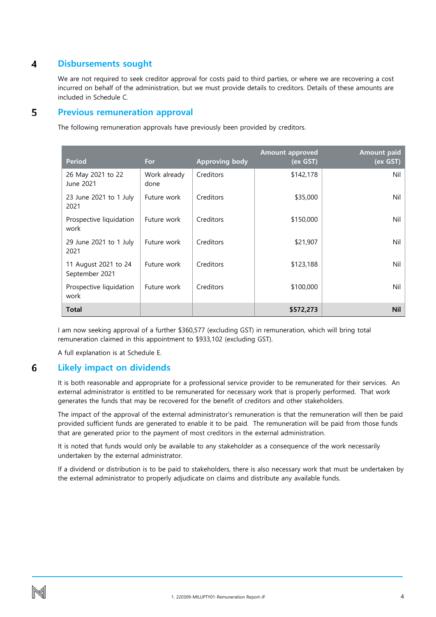#### <span id="page-4-0"></span>4 **Disbursements sought**

We are not required to seek creditor approval for costs paid to third parties, or where we are recovering a cost incurred on behalf of the administration, but we must provide details to creditors. Details of these amounts are included in Schedule C.

#### <span id="page-4-1"></span>5 **Previous remuneration approval**

The following remuneration approvals have previously been provided by creditors.

| <b>Period</b>                          | For                  | <b>Approving body</b> | <b>Amount approved</b><br>(ex GST) | <b>Amount paid</b><br>(ex GST) |
|----------------------------------------|----------------------|-----------------------|------------------------------------|--------------------------------|
| 26 May 2021 to 22<br>June 2021         | Work already<br>done | Creditors             | \$142,178                          | Nil                            |
| 23 June 2021 to 1 July<br>2021         | Future work          | Creditors             | \$35,000                           | Nil                            |
| Prospective liquidation<br>work        | Future work          | Creditors             | \$150,000                          | Nil                            |
| 29 June 2021 to 1 July<br>2021         | Future work          | Creditors             | \$21,907                           | Nil                            |
| 11 August 2021 to 24<br>September 2021 | Future work          | Creditors             | \$123,188                          | Nil                            |
| Prospective liquidation<br>work        | Future work          | Creditors             | \$100,000                          | Nil                            |
| <b>Total</b>                           |                      |                       | \$572,273                          | <b>Nil</b>                     |

I am now seeking approval of a further \$360,577 (excluding GST) in remuneration, which will bring total remuneration claimed in this appointment to \$933,102 (excluding GST).

A full explanation is at Schedule E.

### <span id="page-4-2"></span>6 **Likely impact on dividends**

It is both reasonable and appropriate for a professional service provider to be remunerated for their services. An external administrator is entitled to be remunerated for necessary work that is properly performed. That work generates the funds that may be recovered for the benefit of creditors and other stakeholders.

The impact of the approval of the external administrator's remuneration is that the remuneration will then be paid provided sufficient funds are generated to enable it to be paid. The remuneration will be paid from those funds that are generated prior to the payment of most creditors in the external administration.

It is noted that funds would only be available to any stakeholder as a consequence of the work necessarily undertaken by the external administrator.

If a dividend or distribution is to be paid to stakeholders, there is also necessary work that must be undertaken by the external administrator to properly adjudicate on claims and distribute any available funds.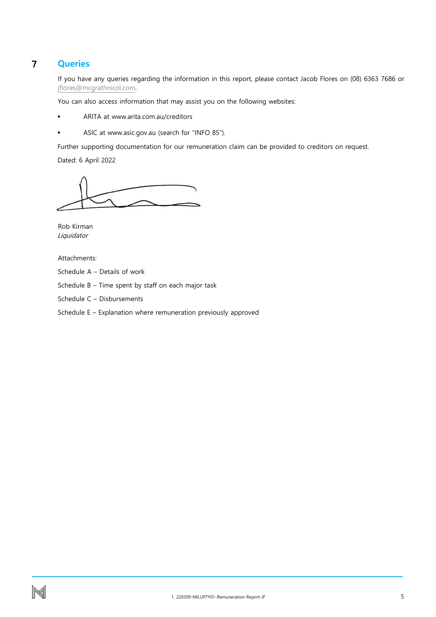### <span id="page-5-0"></span> $\overline{7}$ **Queries**

If you have any queries regarding the information in this report, please contact Jacob Flores on (08) 6363 7686 or [jflores@mcgrathnicol.com.](mailto:jflores@mcgrathnicol.com) 

You can also access information that may assist you on the following websites:

- ARITA at www.arita.com.au/creditors
- ASIC at www.asic.gov.au (search for "INFO 85").

Further supporting documentation for our remuneration claim can be provided to creditors on request.

Dated: 6 April 2022

Rob Kirman Liquidator

Attachments:

Schedule A – Details of work

Schedule B – Time spent by staff on each major task

Schedule C – Disbursements

Schedule E – Explanation where remuneration previously approved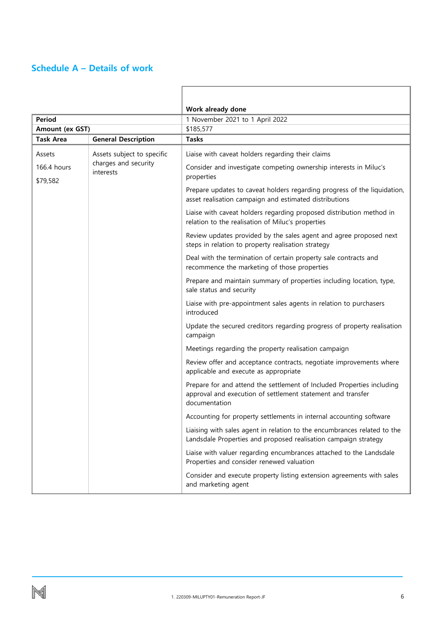### <span id="page-6-0"></span>**Schedule A – Details of work**

|                         |                                   | Work already done                                                                                                                                      |  |  |  |  |
|-------------------------|-----------------------------------|--------------------------------------------------------------------------------------------------------------------------------------------------------|--|--|--|--|
| <b>Period</b>           |                                   | 1 November 2021 to 1 April 2022                                                                                                                        |  |  |  |  |
| Amount (ex GST)         |                                   | \$185,577                                                                                                                                              |  |  |  |  |
| <b>Task Area</b>        | <b>General Description</b>        | <b>Tasks</b>                                                                                                                                           |  |  |  |  |
| Assets                  | Assets subject to specific        | Liaise with caveat holders regarding their claims                                                                                                      |  |  |  |  |
| 166.4 hours<br>\$79,582 | charges and security<br>interests | Consider and investigate competing ownership interests in Miluc's<br>properties                                                                        |  |  |  |  |
|                         |                                   | Prepare updates to caveat holders regarding progress of the liquidation,<br>asset realisation campaign and estimated distributions                     |  |  |  |  |
|                         |                                   | Liaise with caveat holders regarding proposed distribution method in<br>relation to the realisation of Miluc's properties                              |  |  |  |  |
|                         |                                   | Review updates provided by the sales agent and agree proposed next<br>steps in relation to property realisation strategy                               |  |  |  |  |
|                         |                                   | Deal with the termination of certain property sale contracts and<br>recommence the marketing of those properties                                       |  |  |  |  |
|                         |                                   | Prepare and maintain summary of properties including location, type,<br>sale status and security                                                       |  |  |  |  |
|                         |                                   | Liaise with pre-appointment sales agents in relation to purchasers<br>introduced                                                                       |  |  |  |  |
|                         |                                   | Update the secured creditors regarding progress of property realisation<br>campaign                                                                    |  |  |  |  |
|                         |                                   | Meetings regarding the property realisation campaign                                                                                                   |  |  |  |  |
|                         |                                   | Review offer and acceptance contracts, negotiate improvements where<br>applicable and execute as appropriate                                           |  |  |  |  |
|                         |                                   | Prepare for and attend the settlement of Included Properties including<br>approval and execution of settlement statement and transfer<br>documentation |  |  |  |  |
|                         |                                   | Accounting for property settlements in internal accounting software                                                                                    |  |  |  |  |
|                         |                                   | Liaising with sales agent in relation to the encumbrances related to the<br>Landsdale Properties and proposed realisation campaign strategy            |  |  |  |  |
|                         |                                   | Liaise with valuer regarding encumbrances attached to the Landsdale<br>Properties and consider renewed valuation                                       |  |  |  |  |
|                         |                                   | Consider and execute property listing extension agreements with sales<br>and marketing agent                                                           |  |  |  |  |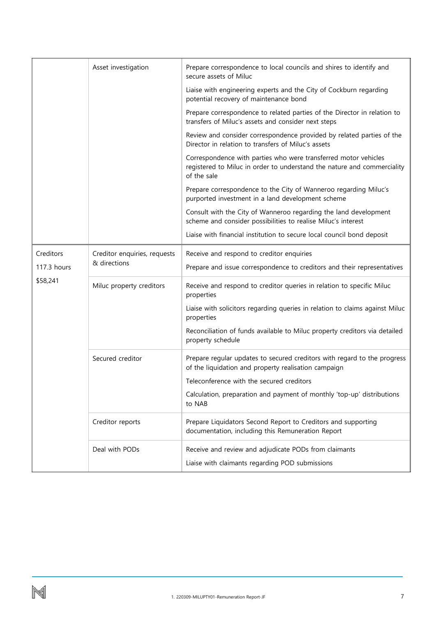|             | Asset investigation          | Prepare correspondence to local councils and shires to identify and<br>secure assets of Miluc                                                             |  |  |  |  |
|-------------|------------------------------|-----------------------------------------------------------------------------------------------------------------------------------------------------------|--|--|--|--|
|             |                              | Liaise with engineering experts and the City of Cockburn regarding<br>potential recovery of maintenance bond                                              |  |  |  |  |
|             |                              | Prepare correspondence to related parties of the Director in relation to<br>transfers of Miluc's assets and consider next steps                           |  |  |  |  |
|             |                              | Review and consider correspondence provided by related parties of the<br>Director in relation to transfers of Miluc's assets                              |  |  |  |  |
|             |                              | Correspondence with parties who were transferred motor vehicles<br>registered to Miluc in order to understand the nature and commerciality<br>of the sale |  |  |  |  |
|             |                              | Prepare correspondence to the City of Wanneroo regarding Miluc's<br>purported investment in a land development scheme                                     |  |  |  |  |
|             |                              | Consult with the City of Wanneroo regarding the land development<br>scheme and consider possibilities to realise Miluc's interest                         |  |  |  |  |
|             |                              | Liaise with financial institution to secure local council bond deposit                                                                                    |  |  |  |  |
| Creditors   | Creditor enquiries, requests | Receive and respond to creditor enquiries                                                                                                                 |  |  |  |  |
| 117.3 hours | & directions                 | Prepare and issue correspondence to creditors and their representatives                                                                                   |  |  |  |  |
| \$58,241    | Miluc property creditors     | Receive and respond to creditor queries in relation to specific Miluc<br>properties                                                                       |  |  |  |  |
|             |                              | Liaise with solicitors regarding queries in relation to claims against Miluc<br>properties                                                                |  |  |  |  |
|             |                              | Reconciliation of funds available to Miluc property creditors via detailed<br>property schedule                                                           |  |  |  |  |
|             | Secured creditor             | Prepare regular updates to secured creditors with regard to the progress<br>of the liquidation and property realisation campaign                          |  |  |  |  |
|             |                              | Teleconference with the secured creditors                                                                                                                 |  |  |  |  |
|             |                              | Calculation, preparation and payment of monthly 'top-up' distributions<br>to NAB                                                                          |  |  |  |  |
|             | Creditor reports             | Prepare Liquidators Second Report to Creditors and supporting<br>documentation, including this Remuneration Report                                        |  |  |  |  |
|             | Deal with PODs               | Receive and review and adjudicate PODs from claimants                                                                                                     |  |  |  |  |
|             |                              | Liaise with claimants regarding POD submissions                                                                                                           |  |  |  |  |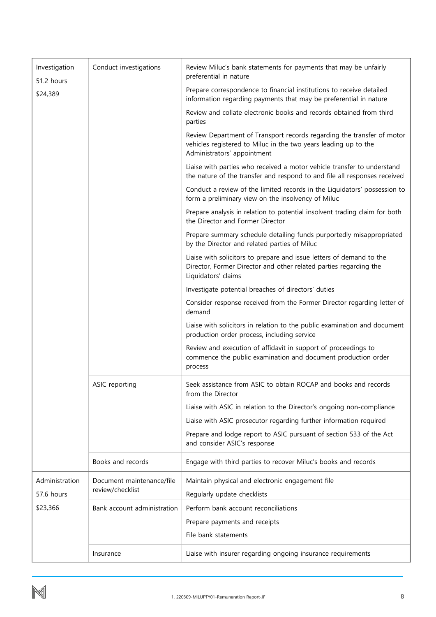| Investigation<br>51.2 hours  | Conduct investigations                        | Review Miluc's bank statements for payments that may be unfairly<br>preferential in nature                                                                               |  |  |  |  |
|------------------------------|-----------------------------------------------|--------------------------------------------------------------------------------------------------------------------------------------------------------------------------|--|--|--|--|
| \$24,389                     |                                               | Prepare correspondence to financial institutions to receive detailed<br>information regarding payments that may be preferential in nature                                |  |  |  |  |
|                              |                                               | Review and collate electronic books and records obtained from third<br>parties                                                                                           |  |  |  |  |
|                              |                                               | Review Department of Transport records regarding the transfer of motor<br>vehicles registered to Miluc in the two years leading up to the<br>Administrators' appointment |  |  |  |  |
|                              |                                               | Liaise with parties who received a motor vehicle transfer to understand<br>the nature of the transfer and respond to and file all responses received                     |  |  |  |  |
|                              |                                               | Conduct a review of the limited records in the Liquidators' possession to<br>form a preliminary view on the insolvency of Miluc                                          |  |  |  |  |
|                              |                                               | Prepare analysis in relation to potential insolvent trading claim for both<br>the Director and Former Director                                                           |  |  |  |  |
|                              |                                               | Prepare summary schedule detailing funds purportedly misappropriated<br>by the Director and related parties of Miluc                                                     |  |  |  |  |
|                              |                                               | Liaise with solicitors to prepare and issue letters of demand to the<br>Director, Former Director and other related parties regarding the<br>Liquidators' claims         |  |  |  |  |
|                              |                                               | Investigate potential breaches of directors' duties                                                                                                                      |  |  |  |  |
|                              |                                               | Consider response received from the Former Director regarding letter of<br>demand                                                                                        |  |  |  |  |
|                              |                                               | Liaise with solicitors in relation to the public examination and document<br>production order process, including service                                                 |  |  |  |  |
|                              |                                               | Review and execution of affidavit in support of proceedings to<br>commence the public examination and document production order<br>process                               |  |  |  |  |
|                              | ASIC reporting                                | Seek assistance from ASIC to obtain ROCAP and books and records<br>from the Director                                                                                     |  |  |  |  |
|                              |                                               | Liaise with ASIC in relation to the Director's ongoing non-compliance                                                                                                    |  |  |  |  |
|                              |                                               | Liaise with ASIC prosecutor regarding further information required                                                                                                       |  |  |  |  |
|                              |                                               | Prepare and lodge report to ASIC pursuant of section 533 of the Act<br>and consider ASIC's response                                                                      |  |  |  |  |
|                              | Books and records                             | Engage with third parties to recover Miluc's books and records                                                                                                           |  |  |  |  |
| Administration<br>57.6 hours | Document maintenance/file<br>review/checklist | Maintain physical and electronic engagement file<br>Regularly update checklists                                                                                          |  |  |  |  |
|                              |                                               |                                                                                                                                                                          |  |  |  |  |
| \$23,366                     | Bank account administration                   | Perform bank account reconciliations                                                                                                                                     |  |  |  |  |
|                              |                                               | Prepare payments and receipts<br>File bank statements                                                                                                                    |  |  |  |  |
|                              |                                               |                                                                                                                                                                          |  |  |  |  |
|                              | Insurance                                     | Liaise with insurer regarding ongoing insurance requirements                                                                                                             |  |  |  |  |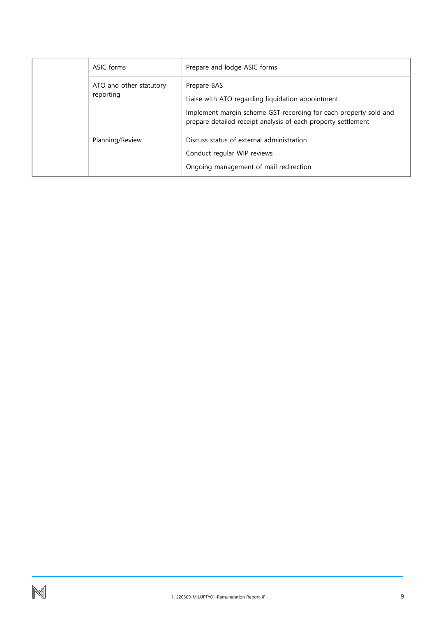|           | ASIC forms              | Prepare and lodge ASIC forms                                                                                                                                                                          |
|-----------|-------------------------|-------------------------------------------------------------------------------------------------------------------------------------------------------------------------------------------------------|
| reporting | ATO and other statutory | Prepare BAS<br>Liaise with ATO regarding liquidation appointment<br>Implement margin scheme GST recording for each property sold and<br>prepare detailed receipt analysis of each property settlement |
|           | Planning/Review         | Discuss status of external administration<br>Conduct regular WIP reviews<br>Ongoing management of mail redirection                                                                                    |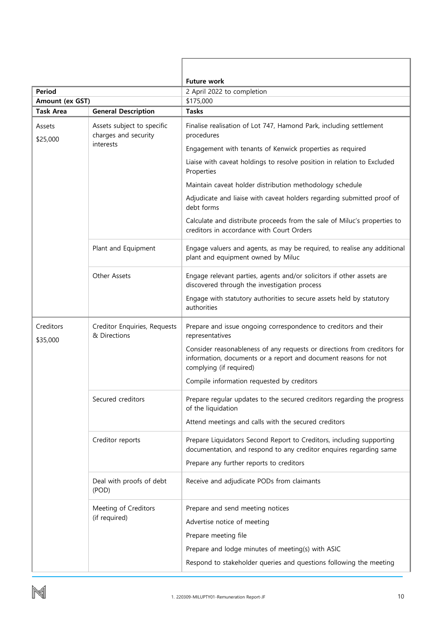| <b>Period</b>         |                                                    | <b>Future work</b><br>2 April 2022 to completion                                                                                                                       |  |  |  |  |  |
|-----------------------|----------------------------------------------------|------------------------------------------------------------------------------------------------------------------------------------------------------------------------|--|--|--|--|--|
| Amount (ex GST)       |                                                    | \$175,000                                                                                                                                                              |  |  |  |  |  |
| <b>Task Area</b>      | <b>General Description</b>                         | <b>Tasks</b>                                                                                                                                                           |  |  |  |  |  |
| Assets<br>\$25,000    | Assets subject to specific<br>charges and security | Finalise realisation of Lot 747, Hamond Park, including settlement<br>procedures                                                                                       |  |  |  |  |  |
|                       | interests                                          | Engagement with tenants of Kenwick properties as required                                                                                                              |  |  |  |  |  |
|                       |                                                    | Liaise with caveat holdings to resolve position in relation to Excluded<br>Properties                                                                                  |  |  |  |  |  |
|                       |                                                    | Maintain caveat holder distribution methodology schedule                                                                                                               |  |  |  |  |  |
|                       |                                                    | Adjudicate and liaise with caveat holders regarding submitted proof of<br>debt forms                                                                                   |  |  |  |  |  |
|                       |                                                    | Calculate and distribute proceeds from the sale of Miluc's properties to<br>creditors in accordance with Court Orders                                                  |  |  |  |  |  |
|                       | Plant and Equipment                                | Engage valuers and agents, as may be required, to realise any additional<br>plant and equipment owned by Miluc                                                         |  |  |  |  |  |
|                       | Other Assets                                       | Engage relevant parties, agents and/or solicitors if other assets are<br>discovered through the investigation process                                                  |  |  |  |  |  |
|                       |                                                    | Engage with statutory authorities to secure assets held by statutory<br>authorities                                                                                    |  |  |  |  |  |
| Creditors<br>\$35,000 | Creditor Enquiries, Requests<br>& Directions       | Prepare and issue ongoing correspondence to creditors and their<br>representatives                                                                                     |  |  |  |  |  |
|                       |                                                    | Consider reasonableness of any requests or directions from creditors for<br>information, documents or a report and document reasons for not<br>complying (if required) |  |  |  |  |  |
|                       |                                                    | Compile information requested by creditors                                                                                                                             |  |  |  |  |  |
|                       | Secured creditors                                  | Prepare regular updates to the secured creditors regarding the progress<br>of the liquidation                                                                          |  |  |  |  |  |
|                       |                                                    | Attend meetings and calls with the secured creditors                                                                                                                   |  |  |  |  |  |
|                       | Creditor reports                                   | Prepare Liquidators Second Report to Creditors, including supporting<br>documentation, and respond to any creditor enquires regarding same                             |  |  |  |  |  |
|                       |                                                    | Prepare any further reports to creditors                                                                                                                               |  |  |  |  |  |
|                       | Deal with proofs of debt<br>(POD)                  | Receive and adjudicate PODs from claimants                                                                                                                             |  |  |  |  |  |
|                       | Meeting of Creditors                               | Prepare and send meeting notices                                                                                                                                       |  |  |  |  |  |
|                       | (if required)                                      | Advertise notice of meeting                                                                                                                                            |  |  |  |  |  |
|                       |                                                    | Prepare meeting file                                                                                                                                                   |  |  |  |  |  |
|                       |                                                    |                                                                                                                                                                        |  |  |  |  |  |
|                       |                                                    | Prepare and lodge minutes of meeting(s) with ASIC                                                                                                                      |  |  |  |  |  |
|                       |                                                    | Respond to stakeholder queries and questions following the meeting                                                                                                     |  |  |  |  |  |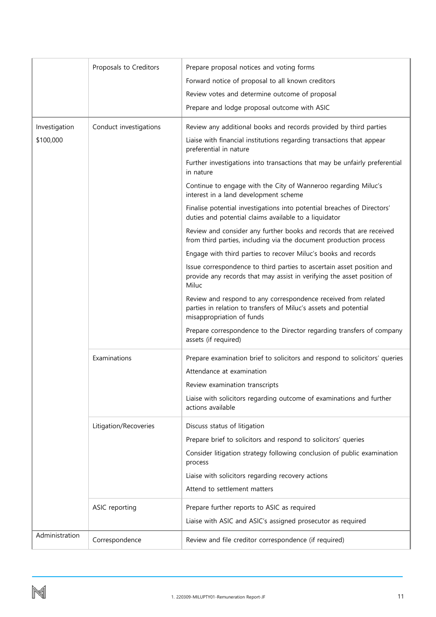|                | Proposals to Creditors | Prepare proposal notices and voting forms                                                                                                                       |  |  |  |  |
|----------------|------------------------|-----------------------------------------------------------------------------------------------------------------------------------------------------------------|--|--|--|--|
|                |                        | Forward notice of proposal to all known creditors                                                                                                               |  |  |  |  |
|                |                        | Review votes and determine outcome of proposal                                                                                                                  |  |  |  |  |
|                |                        | Prepare and lodge proposal outcome with ASIC                                                                                                                    |  |  |  |  |
| Investigation  | Conduct investigations | Review any additional books and records provided by third parties                                                                                               |  |  |  |  |
| \$100,000      |                        | Liaise with financial institutions regarding transactions that appear                                                                                           |  |  |  |  |
|                |                        | preferential in nature                                                                                                                                          |  |  |  |  |
|                |                        | Further investigations into transactions that may be unfairly preferential<br>in nature                                                                         |  |  |  |  |
|                |                        | Continue to engage with the City of Wanneroo regarding Miluc's<br>interest in a land development scheme                                                         |  |  |  |  |
|                |                        | Finalise potential investigations into potential breaches of Directors'<br>duties and potential claims available to a liquidator                                |  |  |  |  |
|                |                        | Review and consider any further books and records that are received<br>from third parties, including via the document production process                        |  |  |  |  |
|                |                        | Engage with third parties to recover Miluc's books and records                                                                                                  |  |  |  |  |
|                |                        | Issue correspondence to third parties to ascertain asset position and<br>provide any records that may assist in verifying the asset position of<br>Miluc        |  |  |  |  |
|                |                        | Review and respond to any correspondence received from related<br>parties in relation to transfers of Miluc's assets and potential<br>misappropriation of funds |  |  |  |  |
|                |                        | Prepare correspondence to the Director regarding transfers of company<br>assets (if required)                                                                   |  |  |  |  |
|                | Examinations           | Prepare examination brief to solicitors and respond to solicitors' queries                                                                                      |  |  |  |  |
|                |                        | Attendance at examination                                                                                                                                       |  |  |  |  |
|                |                        | Review examination transcripts                                                                                                                                  |  |  |  |  |
|                |                        | Liaise with solicitors regarding outcome of examinations and further<br>actions available                                                                       |  |  |  |  |
|                | Litigation/Recoveries  | Discuss status of litigation                                                                                                                                    |  |  |  |  |
|                |                        | Prepare brief to solicitors and respond to solicitors' queries                                                                                                  |  |  |  |  |
|                |                        | Consider litigation strategy following conclusion of public examination<br>process                                                                              |  |  |  |  |
|                |                        | Liaise with solicitors regarding recovery actions                                                                                                               |  |  |  |  |
|                |                        | Attend to settlement matters                                                                                                                                    |  |  |  |  |
| ASIC reporting |                        | Prepare further reports to ASIC as required                                                                                                                     |  |  |  |  |
|                |                        | Liaise with ASIC and ASIC's assigned prosecutor as required                                                                                                     |  |  |  |  |
| Administration | Correspondence         | Review and file creditor correspondence (if required)                                                                                                           |  |  |  |  |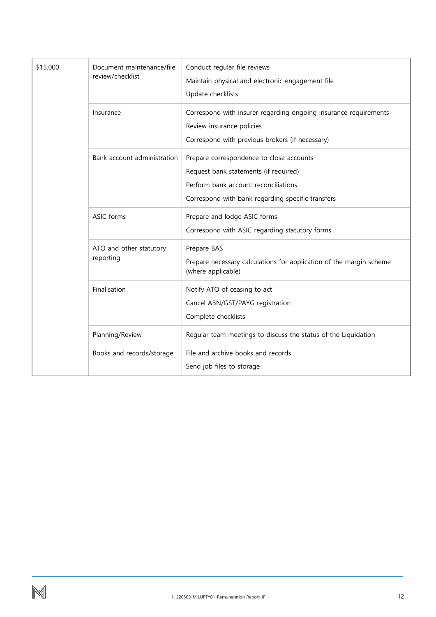| \$15,000 | Document maintenance/file<br>review/checklist | Conduct regular file reviews<br>Maintain physical and electronic engagement file<br>Update checklists                                                                          |
|----------|-----------------------------------------------|--------------------------------------------------------------------------------------------------------------------------------------------------------------------------------|
|          | Insurance                                     | Correspond with insurer regarding ongoing insurance requirements<br>Review insurance policies<br>Correspond with previous brokers (if necessary)                               |
|          | Bank account administration                   | Prepare correspondence to close accounts<br>Request bank statements (if required)<br>Perform bank account reconciliations<br>Correspond with bank regarding specific transfers |
|          | ASIC forms                                    | Prepare and lodge ASIC forms<br>Correspond with ASIC regarding statutory forms                                                                                                 |
|          | ATO and other statutory<br>reporting          | Prepare BAS<br>Prepare necessary calculations for application of the margin scheme<br>(where applicable)                                                                       |
|          | Finalisation                                  | Notify ATO of ceasing to act<br>Cancel ABN/GST/PAYG registration<br>Complete checklists                                                                                        |
|          | Planning/Review                               | Regular team meetings to discuss the status of the Liquidation                                                                                                                 |
|          | Books and records/storage                     | File and archive books and records<br>Send job files to storage                                                                                                                |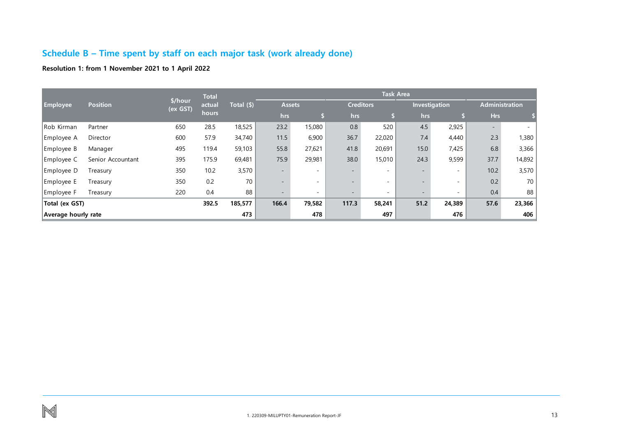## **Schedule B – Time spent by staff on each major task (work already done)**

### **Resolution 1: from 1 November 2021 to 1 April 2022**

<span id="page-13-0"></span>

|                                                 |                   |                     | <b>Total</b> |            | <b>Task Area</b>         |                          |       |                  |                          |                          |                          |        |
|-------------------------------------------------|-------------------|---------------------|--------------|------------|--------------------------|--------------------------|-------|------------------|--------------------------|--------------------------|--------------------------|--------|
| <b>Employee</b>                                 | <b>Position</b>   | \$/hour<br>(ex GST) | actual       | Total (\$) |                          | <b>Assets</b>            |       | <b>Creditors</b> |                          | Investigation            | <b>Administration</b>    |        |
|                                                 |                   |                     | hours        |            | hrs                      |                          | hrs   |                  | hrs                      |                          | <b>Hrs</b>               |        |
| Rob Kirman                                      | Partner           | 650                 | 28.5         | 18,525     | 23.2                     | 15,080                   | 0.8   | 520              | 4.5                      | 2,925                    | $\overline{\phantom{a}}$ |        |
| Employee A                                      | Director          | 600                 | 57.9         | 34,740     | 11.5                     | 6,900                    | 36.7  | 22,020           | 7.4                      | 4,440                    | 2.3                      | 1,380  |
| Employee B                                      | Manager           | 495                 | 119.4        | 59,103     | 55.8                     | 27,621                   | 41.8  | 20,691           | 15.0                     | 7,425                    | 6.8                      | 3,366  |
| Employee C                                      | Senior Accountant | 395                 | 175.9        | 69,481     | 75.9                     | 29,981                   | 38.0  | 15,010           | 24.3                     | 9,599                    | 37.7                     | 14,892 |
| Employee D                                      | Treasury          | 350                 | 10.2         | 3,570      | $\overline{\phantom{a}}$ | $\sim$                   |       | $\sim$           | $\overline{\phantom{0}}$ | $\sim$                   | 10.2                     | 3,570  |
| Employee E                                      | Treasury          | 350                 | 0.2          | 70         | $\overline{\phantom{a}}$ | $\overline{\phantom{0}}$ |       | $\sim$           |                          | $\overline{\phantom{0}}$ | 0.2                      | 70     |
| Employee F                                      | Treasury          | 220                 | 0.4          | 88         | $\overline{\phantom{a}}$ | $\overline{\phantom{0}}$ |       | $\sim$           | $\overline{\phantom{a}}$ | $\overline{\phantom{0}}$ | 0.4                      | 88     |
| Total (ex GST)                                  |                   |                     | 392.5        | 185,577    | 166.4                    | 79,582                   | 117.3 | 58,241           | 51.2                     | 24,389                   | 57.6                     | 23,366 |
| 478<br>473<br>476<br>497<br>Average hourly rate |                   |                     |              |            |                          | 406                      |       |                  |                          |                          |                          |        |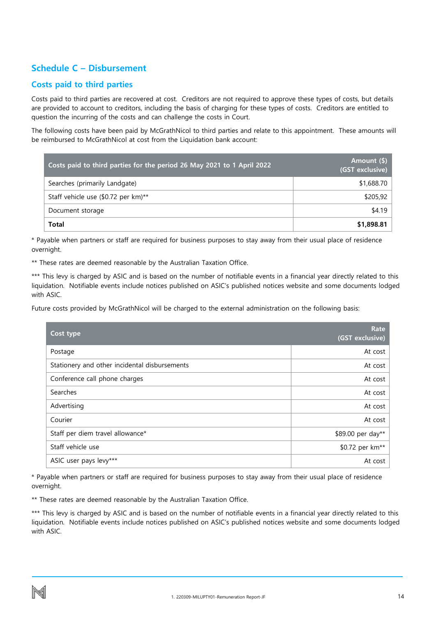### <span id="page-14-0"></span>**Schedule C – Disbursement**

### **Costs paid to third parties**

Costs paid to third parties are recovered at cost. Creditors are not required to approve these types of costs, but details are provided to account to creditors, including the basis of charging for these types of costs. Creditors are entitled to question the incurring of the costs and can challenge the costs in Court.

The following costs have been paid by McGrathNicol to third parties and relate to this appointment. These amounts will be reimbursed to McGrathNicol at cost from the Liquidation bank account:

| Costs paid to third parties for the period 26 May 2021 to 1 April 2022 | Amount (\$)<br>(GST exclusive) |
|------------------------------------------------------------------------|--------------------------------|
| Searches (primarily Landgate)                                          | \$1,688.70                     |
| Staff vehicle use (\$0.72 per km)**                                    | \$205,92                       |
| Document storage                                                       | \$4.19                         |
| Total                                                                  | \$1,898.81                     |

\* Payable when partners or staff are required for business purposes to stay away from their usual place of residence overnight.

\*\* These rates are deemed reasonable by the Australian Taxation Office.

\*\*\* This levy is charged by ASIC and is based on the number of notifiable events in a financial year directly related to this liquidation. Notifiable events include notices published on ASIC's published notices website and some documents lodged with ASIC.

Future costs provided by McGrathNicol will be charged to the external administration on the following basis:

| Cost type                                     | Rate<br>(GST exclusive)     |
|-----------------------------------------------|-----------------------------|
| Postage                                       | At cost                     |
| Stationery and other incidental disbursements | At cost                     |
| Conference call phone charges                 | At cost                     |
| Searches                                      | At cost                     |
| Advertising                                   | At cost                     |
| Courier                                       | At cost                     |
| Staff per diem travel allowance*              | \$89.00 per day**           |
| Staff vehicle use                             | \$0.72 per km <sup>**</sup> |
| ASIC user pays levy***                        | At cost                     |

\* Payable when partners or staff are required for business purposes to stay away from their usual place of residence overnight.

\*\* These rates are deemed reasonable by the Australian Taxation Office.

\*\*\* This levy is charged by ASIC and is based on the number of notifiable events in a financial year directly related to this liquidation. Notifiable events include notices published on ASIC's published notices website and some documents lodged with ASIC.

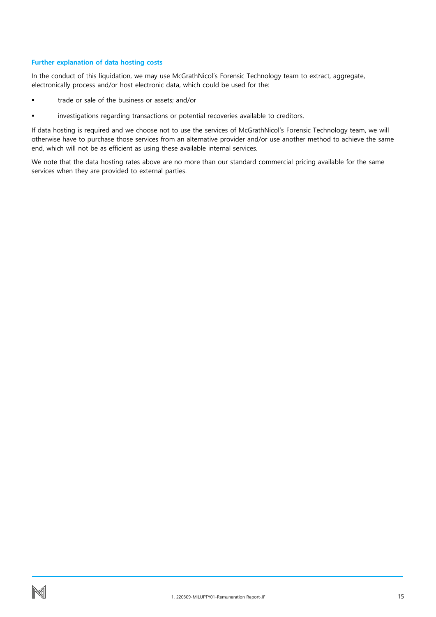### **Further explanation of data hosting costs**

In the conduct of this liquidation, we may use McGrathNicol's Forensic Technology team to extract, aggregate, electronically process and/or host electronic data, which could be used for the:

- trade or sale of the business or assets; and/or
- investigations regarding transactions or potential recoveries available to creditors.

If data hosting is required and we choose not to use the services of McGrathNicol's Forensic Technology team, we will otherwise have to purchase those services from an alternative provider and/or use another method to achieve the same end, which will not be as efficient as using these available internal services.

We note that the data hosting rates above are no more than our standard commercial pricing available for the same services when they are provided to external parties.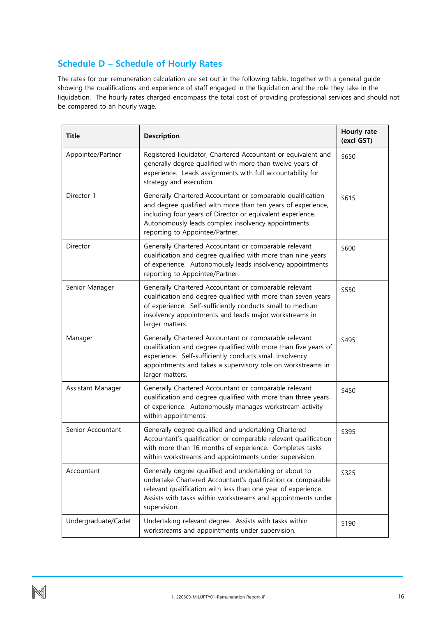# <span id="page-16-0"></span>**Schedule D – Schedule of Hourly Rates**

The rates for our remuneration calculation are set out in the following table, together with a general guide showing the qualifications and experience of staff engaged in the liquidation and the role they take in the liquidation. The hourly rates charged encompass the total cost of providing professional services and should not be compared to an hourly wage.

| <b>Title</b>        | Description                                                                                                                                                                                                                                                                       | Hourly rate<br>(excl GST) |
|---------------------|-----------------------------------------------------------------------------------------------------------------------------------------------------------------------------------------------------------------------------------------------------------------------------------|---------------------------|
| Appointee/Partner   | Registered liquidator, Chartered Accountant or equivalent and<br>generally degree qualified with more than twelve years of<br>experience. Leads assignments with full accountability for<br>strategy and execution.                                                               | \$650                     |
| Director 1          | Generally Chartered Accountant or comparable qualification<br>and degree qualified with more than ten years of experience,<br>including four years of Director or equivalent experience.<br>Autonomously leads complex insolvency appointments<br>reporting to Appointee/Partner. | \$615                     |
| Director            | Generally Chartered Accountant or comparable relevant<br>qualification and degree qualified with more than nine years<br>of experience. Autonomously leads insolvency appointments<br>reporting to Appointee/Partner.                                                             | \$600                     |
| Senior Manager      | Generally Chartered Accountant or comparable relevant<br>qualification and degree qualified with more than seven years<br>of experience. Self-sufficiently conducts small to medium<br>insolvency appointments and leads major workstreams in<br>larger matters.                  | \$550                     |
| Manager             | Generally Chartered Accountant or comparable relevant<br>qualification and degree qualified with more than five years of<br>experience. Self-sufficiently conducts small insolvency<br>appointments and takes a supervisory role on workstreams in<br>larger matters.             | \$495                     |
| Assistant Manager   | Generally Chartered Accountant or comparable relevant<br>qualification and degree qualified with more than three years<br>of experience. Autonomously manages workstream activity<br>within appointments.                                                                         | \$450                     |
| Senior Accountant   | Generally degree qualified and undertaking Chartered<br>Accountant's qualification or comparable relevant qualification<br>with more than 16 months of experience. Completes tasks<br>within workstreams and appointments under supervision.                                      | \$395                     |
| Accountant          | Generally degree qualified and undertaking or about to<br>undertake Chartered Accountant's qualification or comparable<br>relevant qualification with less than one year of experience.<br>Assists with tasks within workstreams and appointments under<br>supervision.           | \$325                     |
| Undergraduate/Cadet | Undertaking relevant degree. Assists with tasks within<br>workstreams and appointments under supervision.                                                                                                                                                                         | \$190                     |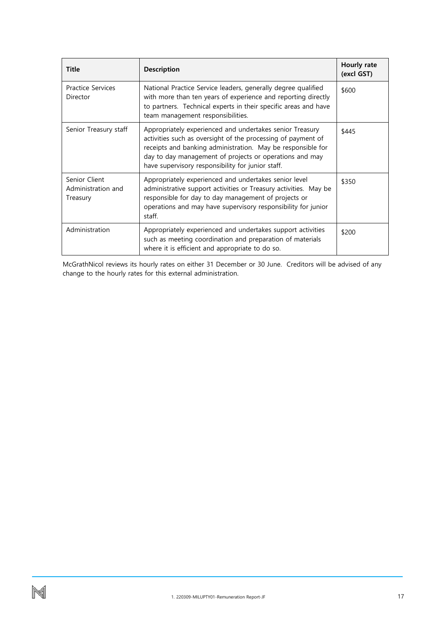| <b>Title</b>                                    | <b>Description</b>                                                                                                                                                                                                                                                                                      | Hourly rate<br>(excl GST) |
|-------------------------------------------------|---------------------------------------------------------------------------------------------------------------------------------------------------------------------------------------------------------------------------------------------------------------------------------------------------------|---------------------------|
| <b>Practice Services</b><br>Director            | National Practice Service leaders, generally degree qualified<br>with more than ten years of experience and reporting directly<br>to partners. Technical experts in their specific areas and have<br>team management responsibilities.                                                                  | \$600                     |
| Senior Treasury staff                           | Appropriately experienced and undertakes senior Treasury<br>activities such as oversight of the processing of payment of<br>receipts and banking administration. May be responsible for<br>day to day management of projects or operations and may<br>have supervisory responsibility for junior staff. | \$445                     |
| Senior Client<br>Administration and<br>Treasury | Appropriately experienced and undertakes senior level<br>administrative support activities or Treasury activities. May be<br>responsible for day to day management of projects or<br>operations and may have supervisory responsibility for junior<br>staff.                                            | \$350                     |
| Administration                                  | Appropriately experienced and undertakes support activities<br>such as meeting coordination and preparation of materials<br>where it is efficient and appropriate to do so.                                                                                                                             | \$200                     |

McGrathNicol reviews its hourly rates on either 31 December or 30 June. Creditors will be advised of any change to the hourly rates for this external administration.